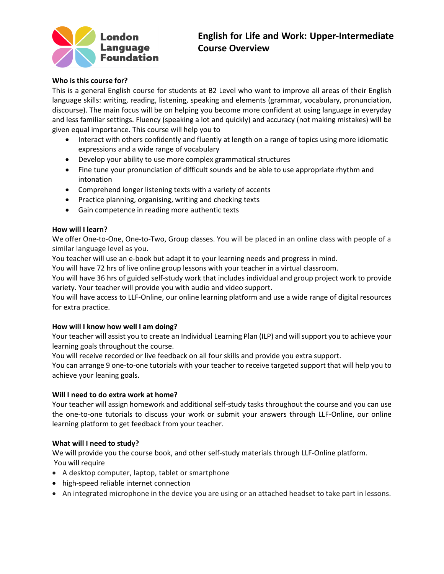

# **English for Life and Work: Upper-Intermediate Course Overview**

## **Who is this course for?**

This is a general English course for students at B2 Level who want to improve all areas of their English language skills: writing, reading, listening, speaking and elements (grammar, vocabulary, pronunciation, discourse). The main focus will be on helping you become more confident at using language in everyday and less familiar settings. Fluency (speaking a lot and quickly) and accuracy (not making mistakes) will be given equal importance. This course will help you to

- Interact with others confidently and fluently at length on a range of topics using more idiomatic expressions and a wide range of vocabulary
- Develop your ability to use more complex grammatical structures
- Fine tune your pronunciation of difficult sounds and be able to use appropriate rhythm and intonation
- Comprehend longer listening texts with a variety of accents
- Practice planning, organising, writing and checking texts
- Gain competence in reading more authentic texts

## **How will I learn?**

We offer One-to-One, One-to-Two, Group classes. You will be placed in an online class with people of a similar language level as you.

You teacher will use an e-book but adapt it to your learning needs and progress in mind.

You will have 72 hrs of live online group lessons with your teacher in a virtual classroom.

You will have 36 hrs of guided self-study work that includes individual and group project work to provide variety. Your teacher will provide you with audio and video support.

You will have access to LLF-Online, our online learning platform and use a wide range of digital resources for extra practice.

### **How will I know how well I am doing?**

Your teacher will assist you to create an Individual Learning Plan (ILP) and will support you to achieve your learning goals throughout the course.

You will receive recorded or live feedback on all four skills and provide you extra support.

You can arrange 9 one-to-one tutorials with your teacher to receive targeted support that will help you to achieve your leaning goals.

### **Will I need to do extra work at home?**

Your teacher will assign homework and additional self-study tasks throughout the course and you can use the one-to-one tutorials to discuss your work or submit your answers through LLF-Online, our online learning platform to get feedback from your teacher.

### **What will I need to study?**

We will provide you the course book, and other self-study materials through LLF-Online platform. You will require

- A desktop computer, laptop, tablet or smartphone
- high-speed reliable internet connection
- An integrated microphone in the device you are using or an attached headset to take part in lessons.